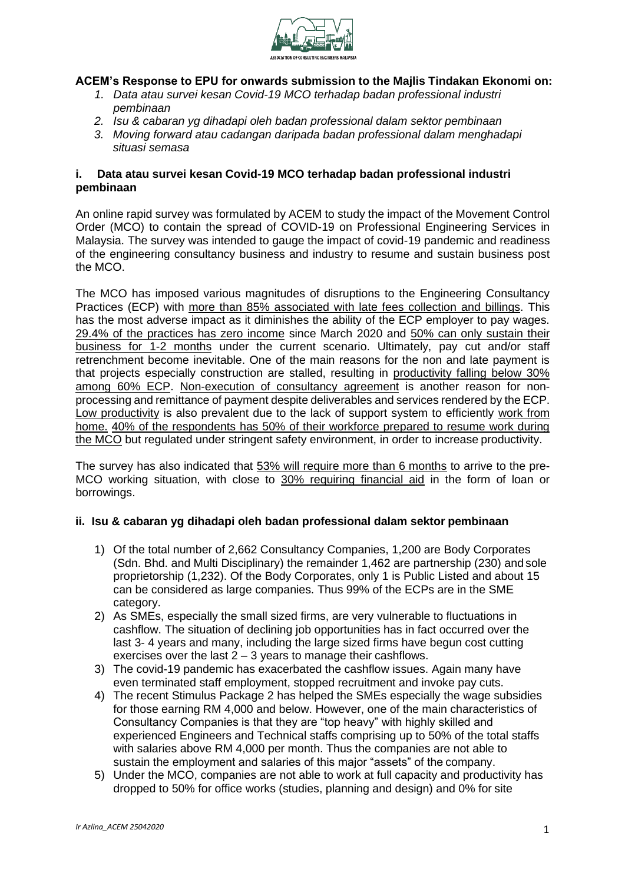

# **ACEM's Response to EPU for onwards submission to the Majlis Tindakan Ekonomi on:**

- *1. Data atau survei kesan Covid-19 MCO terhadap badan professional industri pembinaan*
- *2. Isu & cabaran yg dihadapi oleh badan professional dalam sektor pembinaan*
- *3. Moving forward atau cadangan daripada badan professional dalam menghadapi situasi semasa*

### **i. Data atau survei kesan Covid-19 MCO terhadap badan professional industri pembinaan**

An online rapid survey was formulated by ACEM to study the impact of the Movement Control Order (MCO) to contain the spread of COVID-19 on Professional Engineering Services in Malaysia. The survey was intended to gauge the impact of covid-19 pandemic and readiness of the engineering consultancy business and industry to resume and sustain business post the MCO.

The MCO has imposed various magnitudes of disruptions to the Engineering Consultancy Practices (ECP) with more than 85% associated with late fees collection and billings. This has the most adverse impact as it diminishes the ability of the ECP employer to pay wages. 29.4% of the practices has zero income since March 2020 and 50% can only sustain their business for 1-2 months under the current scenario. Ultimately, pay cut and/or staff retrenchment become inevitable. One of the main reasons for the non and late payment is that projects especially construction are stalled, resulting in productivity falling below 30% among 60% ECP. Non-execution of consultancy agreement is another reason for nonprocessing and remittance of payment despite deliverables and services rendered by the ECP. Low productivity is also prevalent due to the lack of support system to efficiently work from home. 40% of the respondents has 50% of their workforce prepared to resume work during the MCO but regulated under stringent safety environment, in order to increase productivity.

The survey has also indicated that 53% will require more than 6 months to arrive to the pre-MCO working situation, with close to 30% requiring financial aid in the form of loan or borrowings.

#### **ii. Isu & cabaran yg dihadapi oleh badan professional dalam sektor pembinaan**

- 1) Of the total number of 2,662 Consultancy Companies, 1,200 are Body Corporates (Sdn. Bhd. and Multi Disciplinary) the remainder 1,462 are partnership (230) and sole proprietorship (1,232). Of the Body Corporates, only 1 is Public Listed and about 15 can be considered as large companies. Thus 99% of the ECPs are in the SME category.
- 2) As SMEs, especially the small sized firms, are very vulnerable to fluctuations in cashflow. The situation of declining job opportunities has in fact occurred over the last 3- 4 years and many, including the large sized firms have begun cost cutting exercises over the last  $2 - 3$  years to manage their cashflows.
- 3) The covid-19 pandemic has exacerbated the cashflow issues. Again many have even terminated staff employment, stopped recruitment and invoke pay cuts.
- 4) The recent Stimulus Package 2 has helped the SMEs especially the wage subsidies for those earning RM 4,000 and below. However, one of the main characteristics of Consultancy Companies is that they are "top heavy" with highly skilled and experienced Engineers and Technical staffs comprising up to 50% of the total staffs with salaries above RM 4,000 per month. Thus the companies are not able to sustain the employment and salaries of this major "assets" of the company.
- 5) Under the MCO, companies are not able to work at full capacity and productivity has dropped to 50% for office works (studies, planning and design) and 0% for site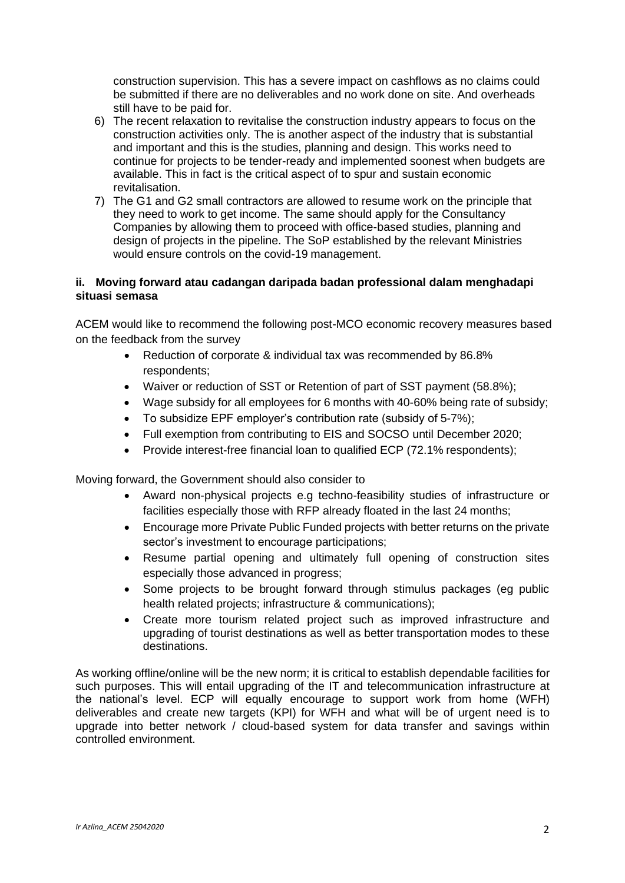construction supervision. This has a severe impact on cashflows as no claims could be submitted if there are no deliverables and no work done on site. And overheads still have to be paid for.

- 6) The recent relaxation to revitalise the construction industry appears to focus on the construction activities only. The is another aspect of the industry that is substantial and important and this is the studies, planning and design. This works need to continue for projects to be tender-ready and implemented soonest when budgets are available. This in fact is the critical aspect of to spur and sustain economic revitalisation.
- 7) The G1 and G2 small contractors are allowed to resume work on the principle that they need to work to get income. The same should apply for the Consultancy Companies by allowing them to proceed with office-based studies, planning and design of projects in the pipeline. The SoP established by the relevant Ministries would ensure controls on the covid-19 management.

### **ii. Moving forward atau cadangan daripada badan professional dalam menghadapi situasi semasa**

ACEM would like to recommend the following post-MCO economic recovery measures based on the feedback from the survey

- Reduction of corporate & individual tax was recommended by 86.8% respondents;
- Waiver or reduction of SST or Retention of part of SST payment (58.8%);
- Wage subsidy for all employees for 6 months with 40-60% being rate of subsidy;
- To subsidize EPF employer's contribution rate (subsidy of 5-7%);
- Full exemption from contributing to EIS and SOCSO until December 2020;
- Provide interest-free financial loan to qualified ECP (72.1% respondents);

Moving forward, the Government should also consider to

- Award non-physical projects e.g techno-feasibility studies of infrastructure or facilities especially those with RFP already floated in the last 24 months;
- Encourage more Private Public Funded projects with better returns on the private sector's investment to encourage participations;
- Resume partial opening and ultimately full opening of construction sites especially those advanced in progress;
- Some projects to be brought forward through stimulus packages (eg public health related projects; infrastructure & communications);
- Create more tourism related project such as improved infrastructure and upgrading of tourist destinations as well as better transportation modes to these destinations.

As working offline/online will be the new norm; it is critical to establish dependable facilities for such purposes. This will entail upgrading of the IT and telecommunication infrastructure at the national's level. ECP will equally encourage to support work from home (WFH) deliverables and create new targets (KPI) for WFH and what will be of urgent need is to upgrade into better network / cloud-based system for data transfer and savings within controlled environment.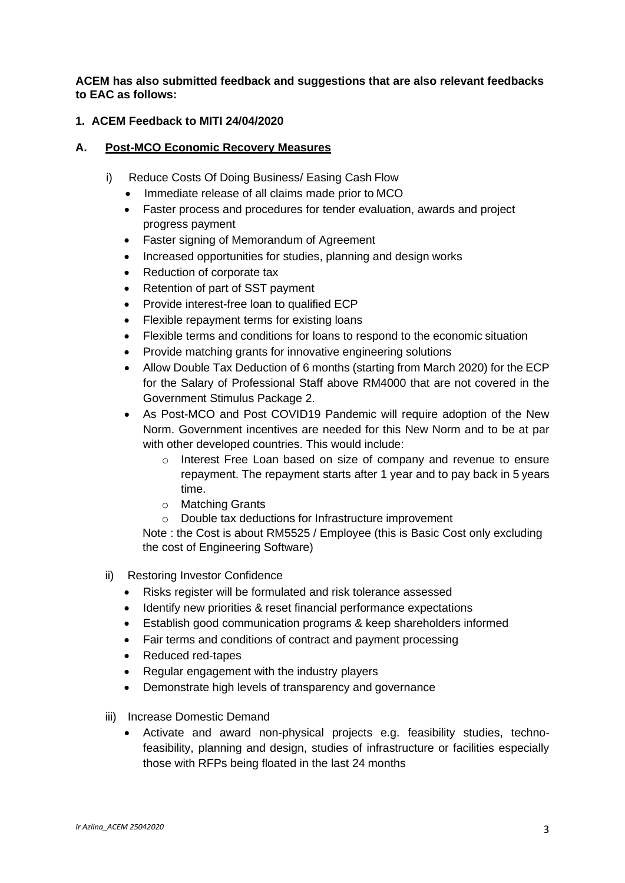**ACEM has also submitted feedback and suggestions that are also relevant feedbacks to EAC as follows:**

### **1. ACEM Feedback to MITI 24/04/2020**

### **A. Post-MCO Economic Recovery Measures**

- i) Reduce Costs Of Doing Business/ Easing Cash Flow
	- Immediate release of all claims made prior to MCO
	- Faster process and procedures for tender evaluation, awards and project progress payment
	- Faster signing of Memorandum of Agreement
	- Increased opportunities for studies, planning and design works
	- Reduction of corporate tax
	- Retention of part of SST payment
	- Provide interest-free loan to qualified ECP
	- Flexible repayment terms for existing loans
	- Flexible terms and conditions for loans to respond to the economic situation
	- Provide matching grants for innovative engineering solutions
	- Allow Double Tax Deduction of 6 months (starting from March 2020) for the ECP for the Salary of Professional Staff above RM4000 that are not covered in the Government Stimulus Package 2.
	- As Post-MCO and Post COVID19 Pandemic will require adoption of the New Norm. Government incentives are needed for this New Norm and to be at par with other developed countries. This would include:
		- o Interest Free Loan based on size of company and revenue to ensure repayment. The repayment starts after 1 year and to pay back in 5 years time.
		- o Matching Grants
		- o Double tax deductions for Infrastructure improvement

Note : the Cost is about RM5525 / Employee (this is Basic Cost only excluding the cost of Engineering Software)

- ii) Restoring Investor Confidence
	- Risks register will be formulated and risk tolerance assessed
	- Identify new priorities & reset financial performance expectations
	- Establish good communication programs & keep shareholders informed
	- Fair terms and conditions of contract and payment processing
	- Reduced red-tapes
	- Regular engagement with the industry players
	- Demonstrate high levels of transparency and governance
- iii) Increase Domestic Demand
	- Activate and award non-physical projects e.g. feasibility studies, technofeasibility, planning and design, studies of infrastructure or facilities especially those with RFPs being floated in the last 24 months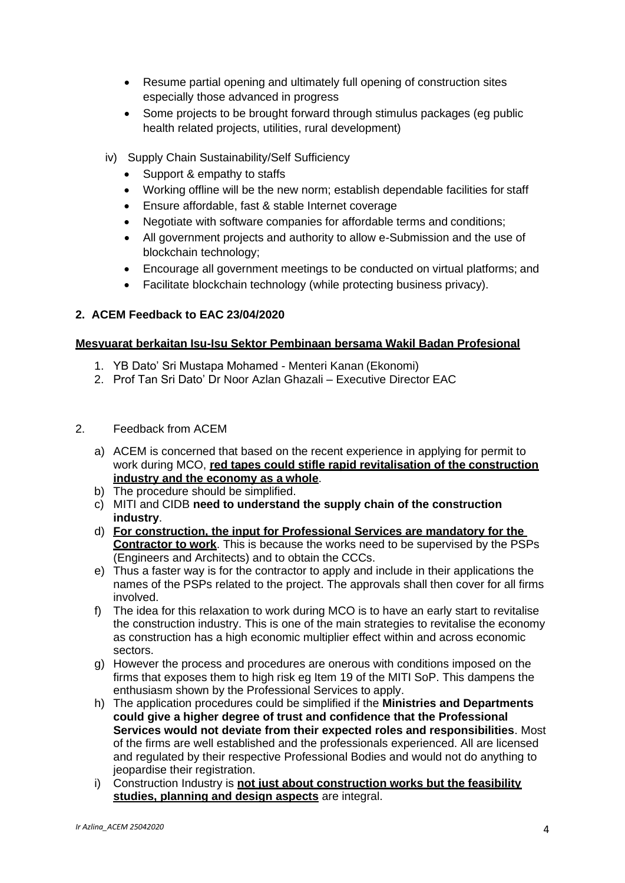- Resume partial opening and ultimately full opening of construction sites especially those advanced in progress
- Some projects to be brought forward through stimulus packages (eg public health related projects, utilities, rural development)
- iv) Supply Chain Sustainability/Self Sufficiency
	- Support & empathy to staffs
	- Working offline will be the new norm; establish dependable facilities for staff
	- Ensure affordable, fast & stable Internet coverage
	- Negotiate with software companies for affordable terms and conditions;
	- All government projects and authority to allow e-Submission and the use of blockchain technology;
	- Encourage all government meetings to be conducted on virtual platforms; and
	- Facilitate blockchain technology (while protecting business privacy).

# **2. ACEM Feedback to EAC 23/04/2020**

# **Mesyuarat berkaitan Isu-Isu Sektor Pembinaan bersama Wakil Badan Profesional**

- 1. YB Dato' Sri Mustapa Mohamed Menteri Kanan (Ekonomi)
- 2. Prof Tan Sri Dato' Dr Noor Azlan Ghazali Executive Director EAC
- 2. Feedback from ACEM
	- a) ACEM is concerned that based on the recent experience in applying for permit to work during MCO, **red tapes could stifle rapid revitalisation of the construction industry and the economy as a whole**.
	- b) The procedure should be simplified.
	- c) MITI and CIDB **need to understand the supply chain of the construction industry**.
	- d) **For construction, the input for Professional Services are mandatory for the Contractor to work**. This is because the works need to be supervised by the PSPs (Engineers and Architects) and to obtain the CCCs.
	- e) Thus a faster way is for the contractor to apply and include in their applications the names of the PSPs related to the project. The approvals shall then cover for all firms involved.
	- f) The idea for this relaxation to work during MCO is to have an early start to revitalise the construction industry. This is one of the main strategies to revitalise the economy as construction has a high economic multiplier effect within and across economic sectors.
	- g) However the process and procedures are onerous with conditions imposed on the firms that exposes them to high risk eg Item 19 of the MITI SoP. This dampens the enthusiasm shown by the Professional Services to apply.
	- h) The application procedures could be simplified if the **Ministries and Departments could give a higher degree of trust and confidence that the Professional Services would not deviate from their expected roles and responsibilities**. Most of the firms are well established and the professionals experienced. All are licensed and regulated by their respective Professional Bodies and would not do anything to jeopardise their registration.
	- i) Construction Industry is **not just about construction works but the feasibility studies, planning and design aspects** are integral.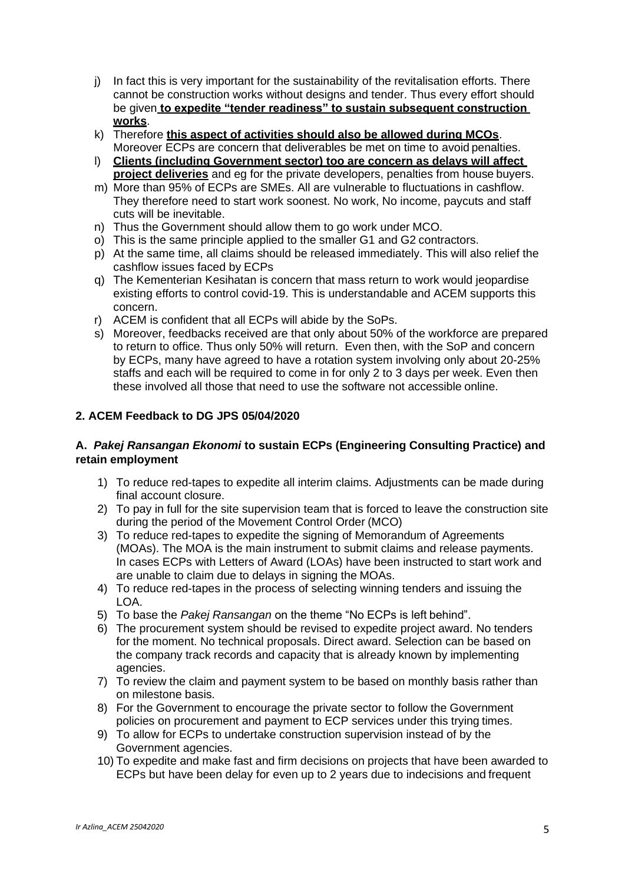- j) In fact this is very important for the sustainability of the revitalisation efforts. There cannot be construction works without designs and tender. Thus every effort should be given **to expedite "tender readiness" to sustain subsequent construction works**.
- k) Therefore **this aspect of activities should also be allowed during MCOs**. Moreover ECPs are concern that deliverables be met on time to avoid penalties.
- l) **Clients (including Government sector) too are concern as delays will affect project deliveries** and eg for the private developers, penalties from house buyers.
- m) More than 95% of ECPs are SMEs. All are vulnerable to fluctuations in cashflow. They therefore need to start work soonest. No work, No income, paycuts and staff cuts will be inevitable.
- n) Thus the Government should allow them to go work under MCO.
- o) This is the same principle applied to the smaller G1 and G2 contractors.
- p) At the same time, all claims should be released immediately. This will also relief the cashflow issues faced by ECPs
- q) The Kementerian Kesihatan is concern that mass return to work would jeopardise existing efforts to control covid-19. This is understandable and ACEM supports this concern.
- r) ACEM is confident that all ECPs will abide by the SoPs.
- s) Moreover, feedbacks received are that only about 50% of the workforce are prepared to return to office. Thus only 50% will return. Even then, with the SoP and concern by ECPs, many have agreed to have a rotation system involving only about 20-25% staffs and each will be required to come in for only 2 to 3 days per week. Even then these involved all those that need to use the software not accessible online.

### **2. ACEM Feedback to DG JPS 05/04/2020**

### **A.** *Pakej Ransangan Ekonomi* **to sustain ECPs (Engineering Consulting Practice) and retain employment**

- 1) To reduce red-tapes to expedite all interim claims. Adjustments can be made during final account closure.
- 2) To pay in full for the site supervision team that is forced to leave the construction site during the period of the Movement Control Order (MCO)
- 3) To reduce red-tapes to expedite the signing of Memorandum of Agreements (MOAs). The MOA is the main instrument to submit claims and release payments. In cases ECPs with Letters of Award (LOAs) have been instructed to start work and are unable to claim due to delays in signing the MOAs.
- 4) To reduce red-tapes in the process of selecting winning tenders and issuing the LOA.
- 5) To base the *Pakej Ransangan* on the theme "No ECPs is left behind".
- 6) The procurement system should be revised to expedite project award. No tenders for the moment. No technical proposals. Direct award. Selection can be based on the company track records and capacity that is already known by implementing agencies.
- 7) To review the claim and payment system to be based on monthly basis rather than on milestone basis.
- 8) For the Government to encourage the private sector to follow the Government policies on procurement and payment to ECP services under this trying times.
- 9) To allow for ECPs to undertake construction supervision instead of by the Government agencies.
- 10) To expedite and make fast and firm decisions on projects that have been awarded to ECPs but have been delay for even up to 2 years due to indecisions and frequent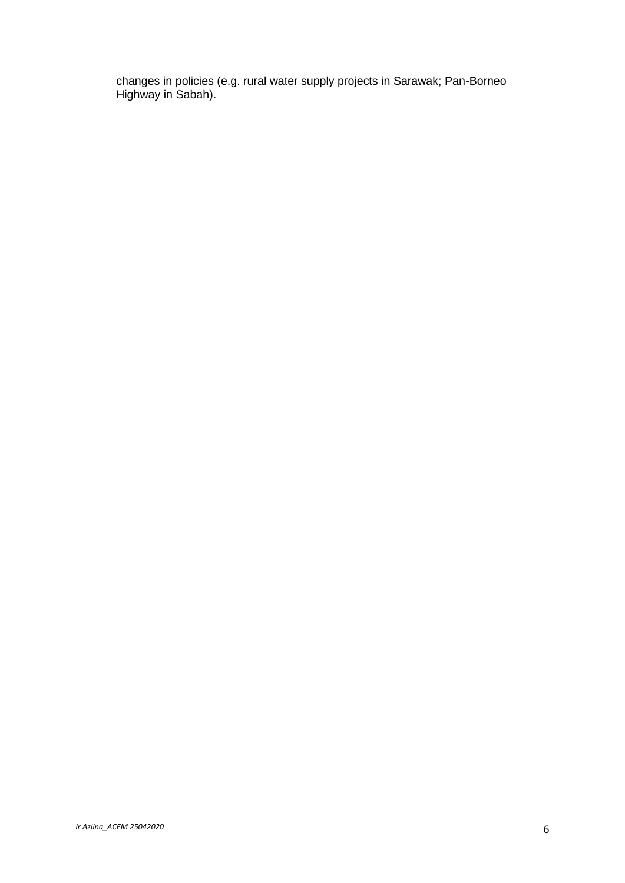changes in policies (e.g. rural water supply projects in Sarawak; Pan-Borneo Highway in Sabah).